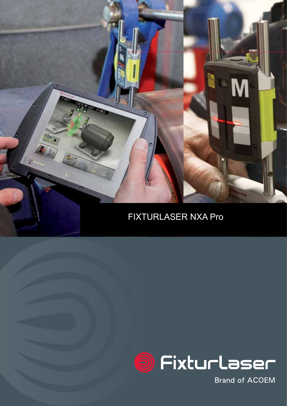



**Brand of ACOEM**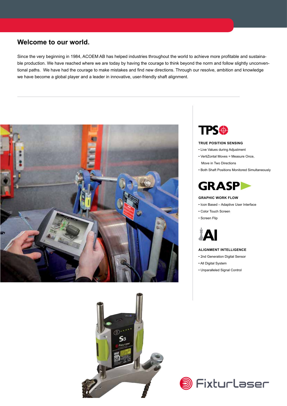### **Welcome to our world.**

Since the very beginning in 1984, ACOEM AB has helped industries throughout the world to achieve more profitable and sustainable production. We have reached where we are today by having the courage to think beyond the norm and follow slightly unconventional paths. We have had the courage to make mistakes and find new directions. Through our resolve, ambition and knowledge we have become a global player and a leader in innovative, user-friendly shaft alignment.



![](_page_1_Picture_3.jpeg)

![](_page_1_Picture_4.jpeg)

#### **TRUE POSITION SENSING**

- � Live Values during Adjustment
- � VertiZontal Moves = Measure Once,
	- Move in Two Directions
- � Both Shaft Positions Monitored Simultaneously

![](_page_1_Picture_10.jpeg)

#### **GRAPHIC WORK FLOW**

- � Icon Based Adaptive User Interface
- � Color Touch Screen
- � Screen Flip

![](_page_1_Picture_15.jpeg)

#### **ALIGNMENT INTELLIGENCE**

- � 2nd Generation Digital Sensor
- � All Digital System
- � Unparalleled Signal Control

![](_page_1_Picture_20.jpeg)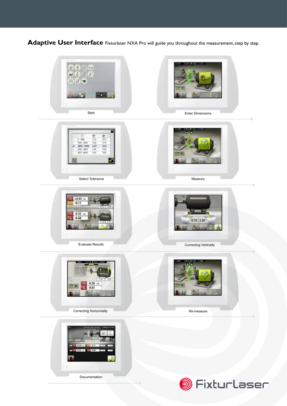Adaptive User Interface Fixturlaser NXA Pro will guide you throughout the measurement, step by step.

![](_page_2_Picture_1.jpeg)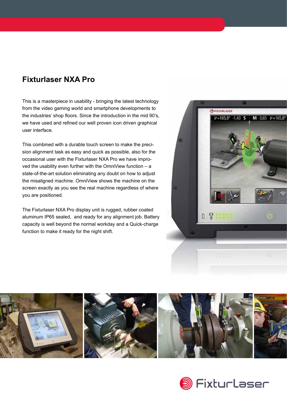## **Fixturlaser NXA Pro**

This is a masterpiece in usability - bringing the latest technology from the video gaming world and smartphone developments to the industries' shop floors. Since the introduction in the mid 90's, we have used and refined our well proven icon driven graphical user interface.

This combined with a durable touch screen to make the precision alignment task as easy and quick as possible, also for the occasional user with the Fixturlaser NXA Pro we have improved the usability even further with the OmniView function – a state-of-the-art solution eliminating any doubt on how to adjust the misaligned machine. OmniView shows the machine on the screen exactly as you see the real machine regardless of where you are positioned.

The Fixturlaser NXA Pro display unit is rugged, rubber coated aluminum IP65 sealed, and ready for any alignment job. Battery capacity is well beyond the normal workday and a Quick-charge function to make it ready for the night shift.

![](_page_3_Picture_4.jpeg)

![](_page_3_Picture_5.jpeg)

![](_page_3_Picture_6.jpeg)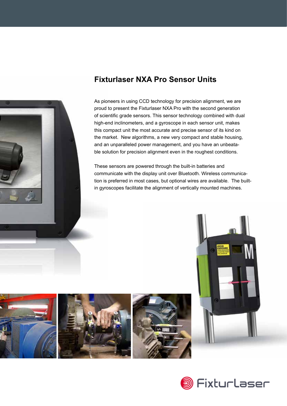![](_page_4_Picture_0.jpeg)

# **Fixturlaser NXA Pro Sensor Units**

As pioneers in using CCD technology for precision alignment, we are proud to present the Fixturlaser NXA Pro with the second generation of scientific grade sensors. This sensor technology combined with dual high-end inclinometers, and a gyroscope in each sensor unit, makes this compact unit the most accurate and precise sensor of its kind on the market. New algorithms, a new very compact and stable housing, and an unparalleled power management, and you have an unbeatable solution for precision alignment even in the roughest conditions.

These sensors are powered through the built-in batteries and communicate with the display unit over Bluetooth. Wireless communication is preferred in most cases, but optional wires are available. The builtin gyroscopes facilitate the alignment of vertically mounted machines.

![](_page_4_Picture_4.jpeg)

![](_page_4_Picture_5.jpeg)

![](_page_4_Picture_6.jpeg)

![](_page_4_Picture_7.jpeg)

![](_page_4_Picture_8.jpeg)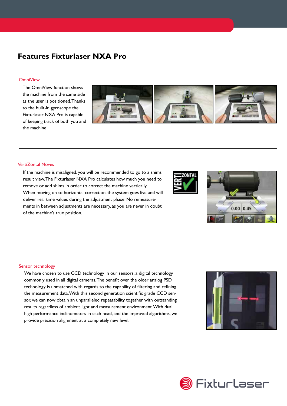## **Features Fixturlaser NXA Pro**

#### **OmniView**

The OmniView function shows the machine from the same side as the user is positioned. Thanks to the built-in gyroscope the Fixturlaser NXA Pro is capable of keeping track of both you and the machine!

![](_page_5_Picture_3.jpeg)

#### VertiZontal Moves

If the machine is misaligned, you will be recommended to go to a shims result view. The Fixturlaser NXA Pro calculates how much you need to remove or add shims in order to correct the machine vertically. When moving on to horizontal correction, the system goes live and will deliver real time values during the adjustment phase. No remeasurements in between adjustments are necessary, as you are never in doubt of the machine's true position.

![](_page_5_Picture_6.jpeg)

![](_page_5_Picture_7.jpeg)

#### Sensor technology

We have chosen to use CCD technology in our sensors, a digital technology commonly used in all digital cameras. The benefit over the older analog PSD technology is unmatched with regards to the capability of filtering and refining the measurement data. With this second generation scientific grade CCD sensor, we can now obtain an unparalleled repeatability together with outstanding results regardless of ambient light and measurement environment. With dual high performance inclinometers in each head, and the improved algorithms, we provide precision alignment at a completely new level.

![](_page_5_Picture_10.jpeg)

![](_page_5_Picture_11.jpeg)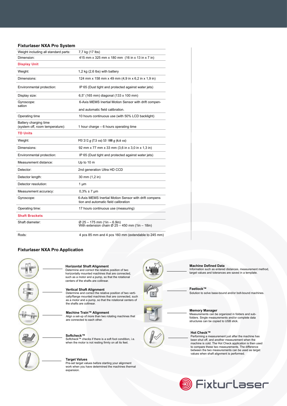#### **Fixturlaser NXA Pro System**

| Weight including all standard parts:                     | 7,7 kg (17 lbs)                                                                                        |
|----------------------------------------------------------|--------------------------------------------------------------------------------------------------------|
| Dimension:                                               | 415 mm x 325 mm x 180 mm (16 in x 13 in x 7 in)                                                        |
| <b>Display Unit</b>                                      |                                                                                                        |
| Weight:                                                  | 1,2 kg (2,6 lbs) with battery                                                                          |
| Dimensions:                                              | 124 mm x 158 mm x 49 mm (4,9 in x 6,2 in x 1,9 in)                                                     |
| Environmental protection:                                | IP 65 (Dust tight and protected against water jets)                                                    |
| Display size:                                            | 6,5" (165 mm) diagonal (133 x 100 mm)                                                                  |
| Gyroscope:<br>sation                                     | 6-Axis MEMS Inertial Motion Sensor with drift compen-                                                  |
|                                                          | and automatic field calibration.                                                                       |
| Operating time                                           | 10 hours continuous use (with 50% LCD backlight)                                                       |
| Battery charging time<br>(system off, room temperature): | 1 hour charge – 6 hours operating time                                                                 |
| <b>TD Units</b>                                          |                                                                                                        |
| Weight:                                                  | M3 212 g (7,5 oz) S3 188 g (6,6 oz)                                                                    |
| Dimensions:                                              | 92 mm x 77 mm x 33 mm (3,6 in x 3,0 in x 1,3 in)                                                       |
| Environmental protection:                                | IP 65 (Dust tight and protected against water jets)                                                    |
| Measurement distance:                                    | Up to 10 m                                                                                             |
| Detector:                                                | 2nd generation Ultra HD CCD                                                                            |
| Detector length:                                         | 30 mm (1,2 in)                                                                                         |
| Detector resolution:                                     | $1 \mu m$                                                                                              |
| Measurement accuracy:                                    | $0.3\% \pm 7 \mu m$                                                                                    |
| Gyroscope:                                               | 6-Axis MEMS Inertial Motion Sensor with drift compens<br>tion and automatic field calibration          |
| Operating time:                                          | 17 hours continuous use (measuring)                                                                    |
| <b>Shaft Brackets</b>                                    |                                                                                                        |
| Shaft diameter:                                          | $\varnothing$ 25 – 175 mm (1in – 6.9in)<br>With extension chain $\varnothing$ 25 - 450 mm (1in - 18in) |
| Rods:                                                    | 4 pcs 85 mm and 4 pcs 160 mm (extendable to 245 mm)                                                    |

#### **Fixturlaser NXA Pro Application**

![](_page_6_Picture_3.jpeg)

#### **Horizontal Shaft Alignment**

Determine and correct the relative position of two horizontally mounted machines that are connected, such as a motor and a pump, so that the rotational centers of the shafts are collinear.

### **Vertical Shaft Alignment**

Determine and correct the relative position of two verti-cally/flange mounted machines that are connected, such as a motor and a pump, so that the rotational centers of the shafts are collinear.

**Machine Train™ Alignment** Align a set-up of more than two rotating machines that are connected to each other.

![](_page_6_Picture_9.jpeg)

#### **Target Values**

Pre-set target values before starting your alignment work when you have determined the machines thermal expansion.

![](_page_6_Picture_12.jpeg)

**Machine Defined Data**

Information such as entered distances, measurement method, target values and tolerances are saved in a template.

**Feetlock™** Solution to solve base-bound and/or bolt-bound machines.

![](_page_6_Figure_16.jpeg)

![](_page_6_Picture_17.jpeg)

**Memory Manager** Measurements can be organized in folders and subfolders. Single measurements and/or complete data structures can be copied to USB stick.

#### **Hot Check™**

Performing a measurement just after the machine has been shut off, and another measurement when the machine is cold. The Hot Check application is then used to compare these two measurements. The difference between the two measurements can be used as target values when shaft alignment is performed.

![](_page_6_Picture_22.jpeg)

![](_page_6_Picture_23.jpeg)

![](_page_6_Figure_24.jpeg)